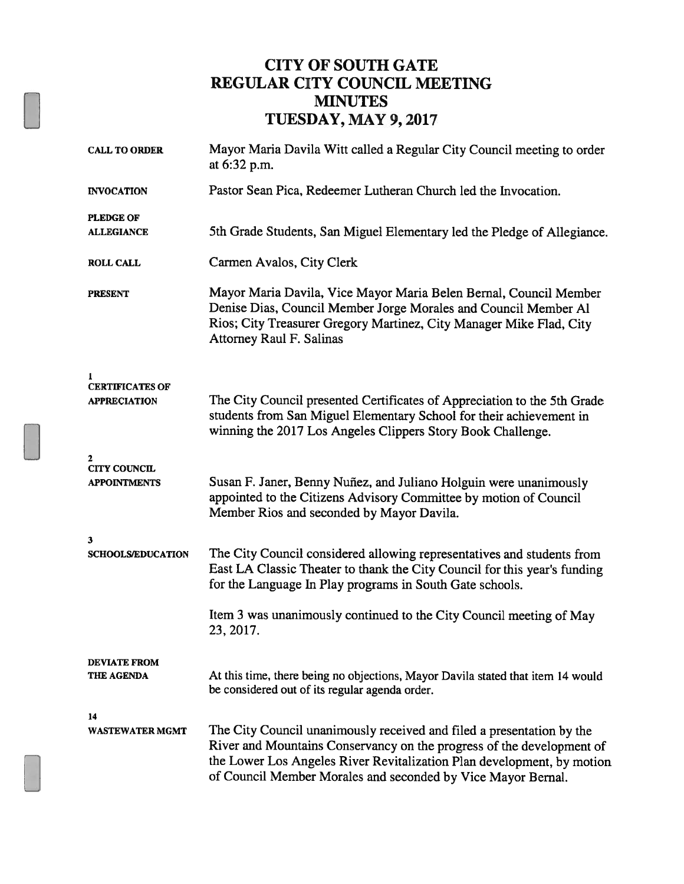### CITY OF SOUTH GATE REGULAR CITY COUNCIL MEETING **MINUTES** TUESDAY, MAY 9, 2017

| <b>CALL TO ORDER</b>                          | Mayor Maria Davila Witt called a Regular City Council meeting to order<br>at 6:32 p.m.                                                                                                                                                                                                   |
|-----------------------------------------------|------------------------------------------------------------------------------------------------------------------------------------------------------------------------------------------------------------------------------------------------------------------------------------------|
| <b>INVOCATION</b>                             | Pastor Sean Pica, Redeemer Lutheran Church led the Invocation.                                                                                                                                                                                                                           |
| <b>PLEDGE OF</b><br><b>ALLEGIANCE</b>         | 5th Grade Students, San Miguel Elementary led the Pledge of Allegiance.                                                                                                                                                                                                                  |
| <b>ROLL CALL</b>                              | Carmen Avalos, City Clerk                                                                                                                                                                                                                                                                |
| <b>PRESENT</b>                                | Mayor Maria Davila, Vice Mayor Maria Belen Bernal, Council Member<br>Denise Dias, Council Member Jorge Morales and Council Member Al<br>Rios; City Treasurer Gregory Martinez, City Manager Mike Flad, City<br>Attorney Raul F. Salinas                                                  |
| <b>CERTIFICATES OF</b><br><b>APPRECIATION</b> | The City Council presented Certificates of Appreciation to the 5th Grade<br>students from San Miguel Elementary School for their achievement in<br>winning the 2017 Los Angeles Clippers Story Book Challenge.                                                                           |
| <b>CITY COUNCIL</b><br><b>APPOINTMENTS</b>    | Susan F. Janer, Benny Nuñez, and Juliano Holguin were unanimously<br>appointed to the Citizens Advisory Committee by motion of Council<br>Member Rios and seconded by Mayor Davila.                                                                                                      |
| 3<br><b>SCHOOLS/EDUCATION</b>                 | The City Council considered allowing representatives and students from<br>East LA Classic Theater to thank the City Council for this year's funding<br>for the Language In Play programs in South Gate schools.                                                                          |
|                                               | Item 3 was unanimously continued to the City Council meeting of May<br>23, 2017.                                                                                                                                                                                                         |
| <b>DEVIATE FROM</b><br>THE AGENDA             | At this time, there being no objections, Mayor Davila stated that item 14 would<br>be considered out of its regular agenda order.                                                                                                                                                        |
| 14<br><b>WASTEWATER MGMT</b>                  | The City Council unanimously received and filed a presentation by the<br>River and Mountains Conservancy on the progress of the development of<br>the Lower Los Angeles River Revitalization Plan development, by motion<br>of Council Member Morales and seconded by Vice Mayor Bernal. |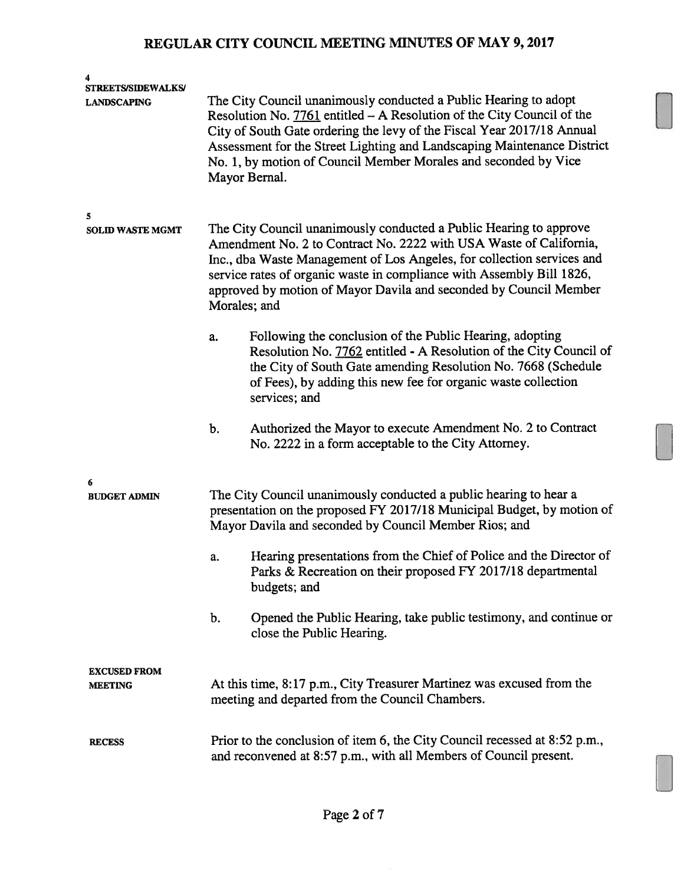| 4<br><b>STREETS/SIDEWALKS/</b><br><b>LANDSCAPING</b> |                                                                                                                                                                                                                                                                                                                                                                                  | The City Council unanimously conducted a Public Hearing to adopt<br>Resolution No. 7761 entitled - A Resolution of the City Council of the<br>City of South Gate ordering the levy of the Fiscal Year 2017/18 Annual<br>Assessment for the Street Lighting and Landscaping Maintenance District<br>No. 1, by motion of Council Member Morales and seconded by Vice<br>Mayor Bernal. |  |
|------------------------------------------------------|----------------------------------------------------------------------------------------------------------------------------------------------------------------------------------------------------------------------------------------------------------------------------------------------------------------------------------------------------------------------------------|-------------------------------------------------------------------------------------------------------------------------------------------------------------------------------------------------------------------------------------------------------------------------------------------------------------------------------------------------------------------------------------|--|
| 5<br><b>SOLID WASTE MGMT</b>                         | The City Council unanimously conducted a Public Hearing to approve<br>Amendment No. 2 to Contract No. 2222 with USA Waste of California,<br>Inc., dba Waste Management of Los Angeles, for collection services and<br>service rates of organic waste in compliance with Assembly Bill 1826,<br>approved by motion of Mayor Davila and seconded by Council Member<br>Morales; and |                                                                                                                                                                                                                                                                                                                                                                                     |  |
|                                                      | a.                                                                                                                                                                                                                                                                                                                                                                               | Following the conclusion of the Public Hearing, adopting<br>Resolution No. 7762 entitled - A Resolution of the City Council of<br>the City of South Gate amending Resolution No. 7668 (Schedule<br>of Fees), by adding this new fee for organic waste collection<br>services; and                                                                                                   |  |
|                                                      | b.                                                                                                                                                                                                                                                                                                                                                                               | Authorized the Mayor to execute Amendment No. 2 to Contract<br>No. 2222 in a form acceptable to the City Attorney.                                                                                                                                                                                                                                                                  |  |
| 6<br><b>BUDGET ADMIN</b>                             |                                                                                                                                                                                                                                                                                                                                                                                  | The City Council unanimously conducted a public hearing to hear a<br>presentation on the proposed FY 2017/18 Municipal Budget, by motion of<br>Mayor Davila and seconded by Council Member Rios; and                                                                                                                                                                                |  |
|                                                      | a.                                                                                                                                                                                                                                                                                                                                                                               | Hearing presentations from the Chief of Police and the Director of<br>Parks & Recreation on their proposed FY 2017/18 departmental<br>budgets; and                                                                                                                                                                                                                                  |  |
|                                                      | b.                                                                                                                                                                                                                                                                                                                                                                               | Opened the Public Hearing, take public testimony, and continue or<br>close the Public Hearing.                                                                                                                                                                                                                                                                                      |  |
| <b>EXCUSED FROM</b><br><b>MEETING</b>                |                                                                                                                                                                                                                                                                                                                                                                                  | At this time, 8:17 p.m., City Treasurer Martinez was excused from the<br>meeting and departed from the Council Chambers.                                                                                                                                                                                                                                                            |  |
| <b>RECESS</b>                                        |                                                                                                                                                                                                                                                                                                                                                                                  | Prior to the conclusion of item 6, the City Council recessed at 8:52 p.m.,<br>and reconvened at 8:57 p.m., with all Members of Council present.                                                                                                                                                                                                                                     |  |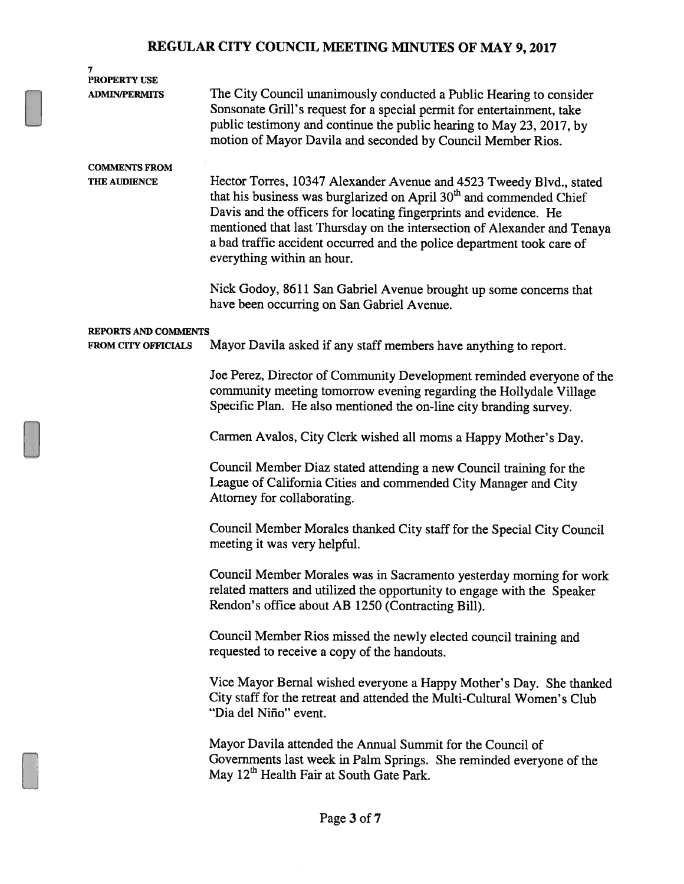| 7                                           |                                                                                                                                                                                                                                                                                                                                                                                                                 |
|---------------------------------------------|-----------------------------------------------------------------------------------------------------------------------------------------------------------------------------------------------------------------------------------------------------------------------------------------------------------------------------------------------------------------------------------------------------------------|
| <b>PROPERTY USE</b><br><b>ADMIN/PERMITS</b> | The City Council unanimously conducted a Public Hearing to consider                                                                                                                                                                                                                                                                                                                                             |
|                                             | Sonsonate Grill's request for a special permit for entertainment, take<br>public testimony and continue the public hearing to May 23, 2017, by<br>motion of Mayor Davila and seconded by Council Member Rios.                                                                                                                                                                                                   |
| <b>COMMENTS FROM</b>                        |                                                                                                                                                                                                                                                                                                                                                                                                                 |
| <b>THE AUDIENCE</b>                         | Hector Torres, 10347 Alexander Avenue and 4523 Tweedy Blvd., stated<br>that his business was burglarized on April 30 <sup>th</sup> and commended Chief<br>Davis and the officers for locating fingerprints and evidence. He<br>mentioned that last Thursday on the intersection of Alexander and Tenaya<br>a bad traffic accident occurred and the police department took care of<br>everything within an hour. |
|                                             | Nick Godoy, 8611 San Gabriel Avenue brought up some concerns that<br>have been occurring on San Gabriel Avenue.                                                                                                                                                                                                                                                                                                 |
| <b>REPORTS AND COMMENTS</b>                 |                                                                                                                                                                                                                                                                                                                                                                                                                 |
| <b>FROM CITY OFFICIALS</b>                  | Mayor Davila asked if any staff members have anything to report.                                                                                                                                                                                                                                                                                                                                                |
|                                             | Joe Perez, Director of Community Development reminded everyone of the                                                                                                                                                                                                                                                                                                                                           |
|                                             | community meeting tomorrow evening regarding the Hollydale Village<br>Specific Plan. He also mentioned the on-line city branding survey.                                                                                                                                                                                                                                                                        |
|                                             | Carmen Avalos, City Clerk wished all moms a Happy Mother's Day.                                                                                                                                                                                                                                                                                                                                                 |
|                                             | Council Member Diaz stated attending a new Council training for the<br>League of California Cities and commended City Manager and City<br>Attorney for collaborating.                                                                                                                                                                                                                                           |
|                                             | Council Member Morales thanked City staff for the Special City Council<br>meeting it was very helpful.                                                                                                                                                                                                                                                                                                          |
|                                             | Council Member Morales was in Sacramento yesterday morning for work<br>related matters and utilized the opportunity to engage with the Speaker<br>Rendon's office about AB 1250 (Contracting Bill).                                                                                                                                                                                                             |
|                                             | Council Member Rios missed the newly elected council training and<br>requested to receive a copy of the handouts.                                                                                                                                                                                                                                                                                               |
|                                             | Vice Mayor Bernal wished everyone a Happy Mother's Day. She thanked<br>City staff for the retreat and attended the Multi-Cultural Women's Club<br>"Dia del Niño" event.                                                                                                                                                                                                                                         |
|                                             | Mayor Davila attended the Annual Summit for the Council of<br>Governments last week in Palm Springs. She reminded everyone of the<br>May 12 <sup>th</sup> Health Fair at South Gate Park.                                                                                                                                                                                                                       |
|                                             |                                                                                                                                                                                                                                                                                                                                                                                                                 |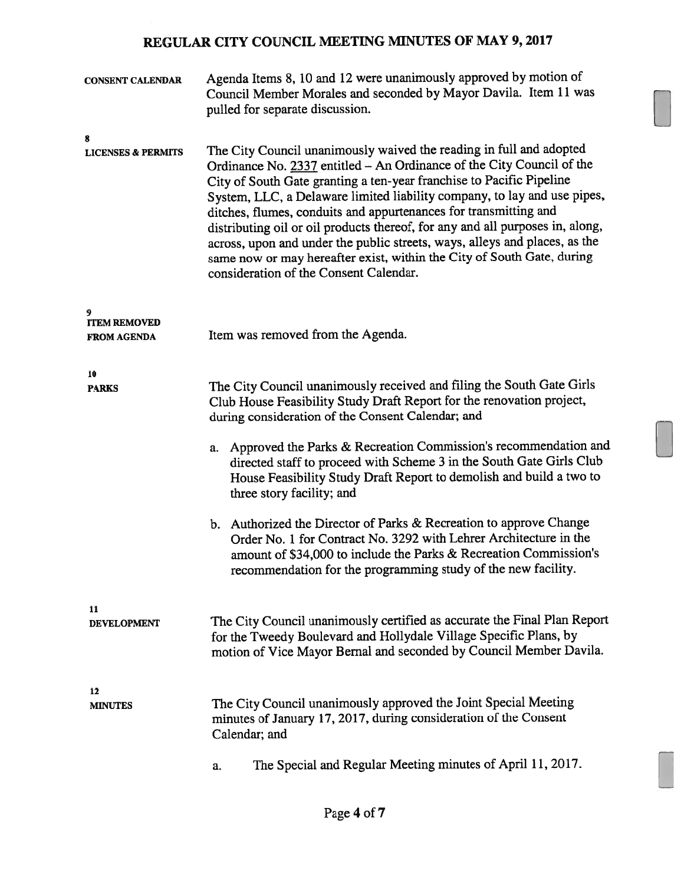| <b>CONSENT CALENDAR</b>                   | Agenda Items 8, 10 and 12 were unanimously approved by motion of<br>Council Member Morales and seconded by Mayor Davila. Item 11 was<br>pulled for separate discussion.                                                                                                                                                                                                                                                                                                                                                                                                                                                                                                                                                                |
|-------------------------------------------|----------------------------------------------------------------------------------------------------------------------------------------------------------------------------------------------------------------------------------------------------------------------------------------------------------------------------------------------------------------------------------------------------------------------------------------------------------------------------------------------------------------------------------------------------------------------------------------------------------------------------------------------------------------------------------------------------------------------------------------|
| 8<br><b>LICENSES &amp; PERMITS</b>        | The City Council unanimously waived the reading in full and adopted<br>Ordinance No. 2337 entitled - An Ordinance of the City Council of the<br>City of South Gate granting a ten-year franchise to Pacific Pipeline<br>System, LLC, a Delaware limited liability company, to lay and use pipes,<br>ditches, flumes, conduits and appurtenances for transmitting and<br>distributing oil or oil products thereof, for any and all purposes in, along,<br>across, upon and under the public streets, ways, alleys and places, as the<br>same now or may hereafter exist, within the City of South Gate, during<br>consideration of the Consent Calendar.                                                                                |
| <b>ITEM REMOVED</b><br><b>FROM AGENDA</b> | Item was removed from the Agenda.                                                                                                                                                                                                                                                                                                                                                                                                                                                                                                                                                                                                                                                                                                      |
| 10<br><b>PARKS</b>                        | The City Council unanimously received and filing the South Gate Girls<br>Club House Feasibility Study Draft Report for the renovation project,<br>during consideration of the Consent Calendar; and<br>a. Approved the Parks & Recreation Commission's recommendation and<br>directed staff to proceed with Scheme 3 in the South Gate Girls Club<br>House Feasibility Study Draft Report to demolish and build a two to<br>three story facility; and<br>b. Authorized the Director of Parks & Recreation to approve Change<br>Order No. 1 for Contract No. 3292 with Lehrer Architecture in the<br>amount of \$34,000 to include the Parks & Recreation Commission's<br>recommendation for the programming study of the new facility. |
| 11<br><b>DEVELOPMENT</b>                  | The City Council unanimously certified as accurate the Final Plan Report<br>for the Tweedy Boulevard and Hollydale Village Specific Plans, by<br>motion of Vice Mayor Bernal and seconded by Council Member Davila.                                                                                                                                                                                                                                                                                                                                                                                                                                                                                                                    |
| 12<br><b>MINUTES</b>                      | The City Council unanimously approved the Joint Special Meeting<br>minutes of January 17, 2017, during consideration of the Consent<br>Calendar; and                                                                                                                                                                                                                                                                                                                                                                                                                                                                                                                                                                                   |
|                                           | The Special and Regular Meeting minutes of April 11, 2017.<br>a.                                                                                                                                                                                                                                                                                                                                                                                                                                                                                                                                                                                                                                                                       |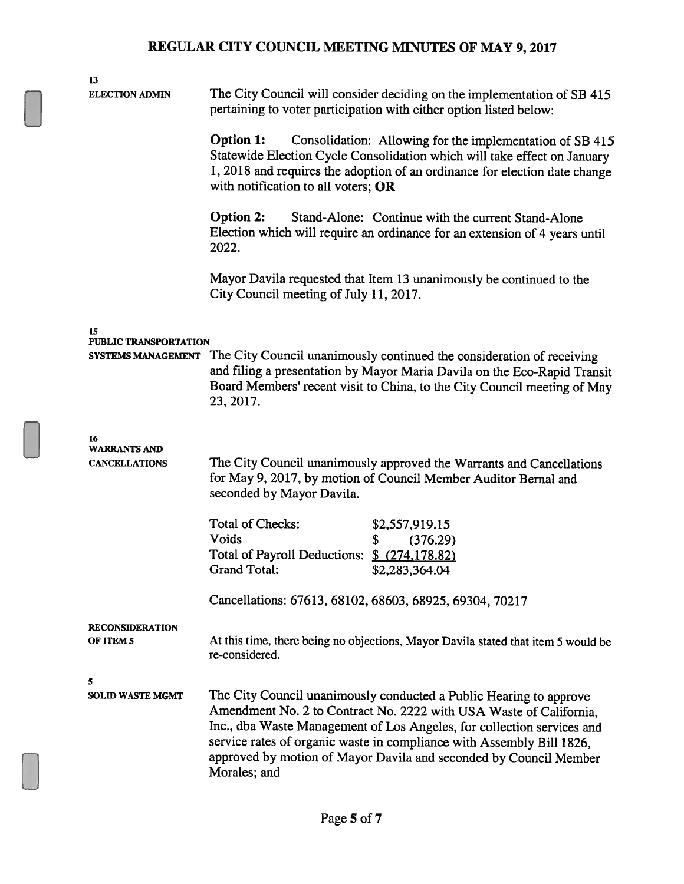| 13<br><b>ELECTION ADMIN</b>                 |                                                                                                                                                                                                                                                                                                                                                                                  | The City Council will consider deciding on the implementation of SB 415<br>pertaining to voter participation with either option listed below:                                                                                 |  |
|---------------------------------------------|----------------------------------------------------------------------------------------------------------------------------------------------------------------------------------------------------------------------------------------------------------------------------------------------------------------------------------------------------------------------------------|-------------------------------------------------------------------------------------------------------------------------------------------------------------------------------------------------------------------------------|--|
|                                             | <b>Option 1:</b><br>Consolidation: Allowing for the implementation of SB 415<br>Statewide Election Cycle Consolidation which will take effect on January<br>1, 2018 and requires the adoption of an ordinance for election date change<br>with notification to all voters; OR                                                                                                    |                                                                                                                                                                                                                               |  |
|                                             | <b>Option 2:</b><br>Stand-Alone: Continue with the current Stand-Alone<br>Election which will require an ordinance for an extension of 4 years until<br>2022.                                                                                                                                                                                                                    |                                                                                                                                                                                                                               |  |
|                                             | City Council meeting of July 11, 2017.                                                                                                                                                                                                                                                                                                                                           | Mayor Davila requested that Item 13 unanimously be continued to the                                                                                                                                                           |  |
| 15                                          |                                                                                                                                                                                                                                                                                                                                                                                  |                                                                                                                                                                                                                               |  |
| <b>PUBLIC TRANSPORTATION</b>                |                                                                                                                                                                                                                                                                                                                                                                                  |                                                                                                                                                                                                                               |  |
| <b>SYSTEMS MANAGEMENT</b>                   | 23, 2017.                                                                                                                                                                                                                                                                                                                                                                        | The City Council unanimously continued the consideration of receiving<br>and filing a presentation by Mayor Maria Davila on the Eco-Rapid Transit<br>Board Members' recent visit to China, to the City Council meeting of May |  |
| 16                                          |                                                                                                                                                                                                                                                                                                                                                                                  |                                                                                                                                                                                                                               |  |
| <b>WARRANTS AND</b><br><b>CANCELLATIONS</b> | The City Council unanimously approved the Warrants and Cancellations<br>for May 9, 2017, by motion of Council Member Auditor Bernal and<br>seconded by Mayor Davila.                                                                                                                                                                                                             |                                                                                                                                                                                                                               |  |
|                                             | Total of Checks:                                                                                                                                                                                                                                                                                                                                                                 | \$2,557,919.15                                                                                                                                                                                                                |  |
|                                             | Voids                                                                                                                                                                                                                                                                                                                                                                            | \$<br>(376.29)                                                                                                                                                                                                                |  |
|                                             | <b>Total of Payroll Deductions:</b><br><b>Grand Total:</b>                                                                                                                                                                                                                                                                                                                       | $$$ (274,178.82)<br>\$2,283,364.04                                                                                                                                                                                            |  |
|                                             |                                                                                                                                                                                                                                                                                                                                                                                  | Cancellations: 67613, 68102, 68603, 68925, 69304, 70217                                                                                                                                                                       |  |
|                                             |                                                                                                                                                                                                                                                                                                                                                                                  |                                                                                                                                                                                                                               |  |
| <b>RECONSIDERATION</b><br>OF ITEM 5         | At this time, there being no objections, Mayor Davila stated that item 5 would be<br>re-considered.                                                                                                                                                                                                                                                                              |                                                                                                                                                                                                                               |  |
| 5                                           |                                                                                                                                                                                                                                                                                                                                                                                  |                                                                                                                                                                                                                               |  |
| <b>SOLID WASTE MGMT</b>                     | The City Council unanimously conducted a Public Hearing to approve<br>Amendment No. 2 to Contract No. 2222 with USA Waste of California,<br>Inc., dba Waste Management of Los Angeles, for collection services and<br>service rates of organic waste in compliance with Assembly Bill 1826,<br>approved by motion of Mayor Davila and seconded by Council Member<br>Morales; and |                                                                                                                                                                                                                               |  |
|                                             |                                                                                                                                                                                                                                                                                                                                                                                  |                                                                                                                                                                                                                               |  |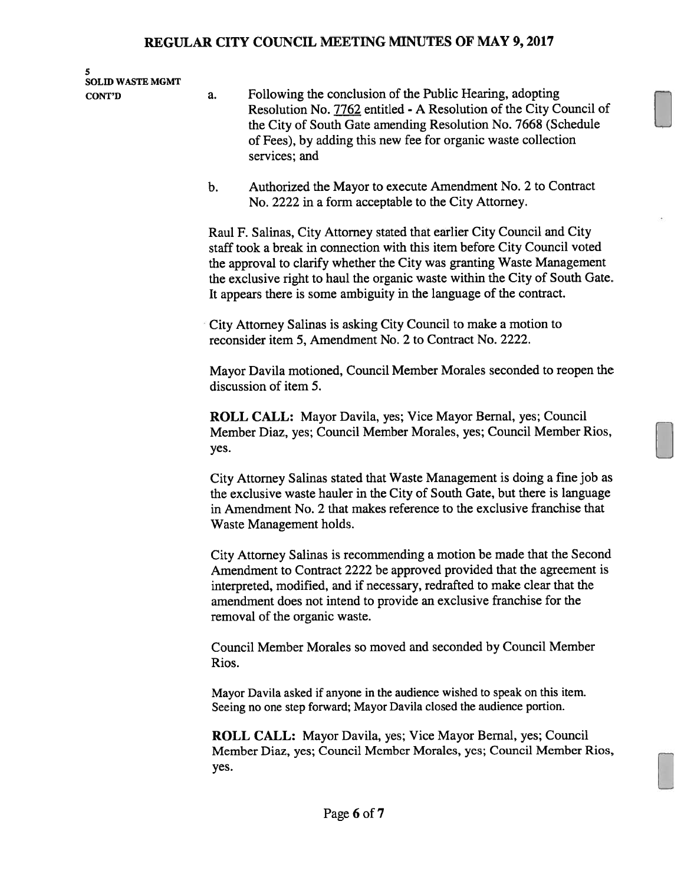| 5<br><b>SOLID WASTE MGMT</b><br><b>CONT'D</b> | Following the conclusion of the Public Hearing, adopting<br>a.                                                                                                                                                                                                                                                                                                                         |  |
|-----------------------------------------------|----------------------------------------------------------------------------------------------------------------------------------------------------------------------------------------------------------------------------------------------------------------------------------------------------------------------------------------------------------------------------------------|--|
|                                               | Resolution No. 7762 entitled - A Resolution of the City Council of<br>the City of South Gate amending Resolution No. 7668 (Schedule<br>of Fees), by adding this new fee for organic waste collection<br>services; and                                                                                                                                                                  |  |
|                                               | Authorized the Mayor to execute Amendment No. 2 to Contract<br>$\mathbf b$ .<br>No. 2222 in a form acceptable to the City Attorney.                                                                                                                                                                                                                                                    |  |
|                                               | Raul F. Salinas, City Attorney stated that earlier City Council and City<br>staff took a break in connection with this item before City Council voted<br>the approval to clarify whether the City was granting Waste Management<br>the exclusive right to haul the organic waste within the City of South Gate.<br>It appears there is some ambiguity in the language of the contract. |  |
|                                               | City Attorney Salinas is asking City Council to make a motion to<br>reconsider item 5, Amendment No. 2 to Contract No. 2222.                                                                                                                                                                                                                                                           |  |
|                                               | Mayor Davila motioned, Council Member Morales seconded to reopen the<br>discussion of item 5.                                                                                                                                                                                                                                                                                          |  |
|                                               | <b>ROLL CALL:</b> Mayor Davila, yes; Vice Mayor Bernal, yes; Council<br>Member Diaz, yes; Council Member Morales, yes; Council Member Rios,<br>yes.                                                                                                                                                                                                                                    |  |
|                                               | City Attorney Salinas stated that Waste Management is doing a fine job as<br>the exclusive waste hauler in the City of South Gate, but there is language<br>in Amendment No. 2 that makes reference to the exclusive franchise that<br>Waste Management holds.                                                                                                                         |  |
|                                               | City Attorney Salinas is recommending a motion be made that the Second<br>Amendment to Contract 2222 be approved provided that the agreement is<br>interpreted, modified, and if necessary, redrafted to make clear that the<br>amendment does not intend to provide an exclusive franchise for the<br>removal of the organic waste.                                                   |  |
|                                               | Council Member Morales so moved and seconded by Council Member<br>Rios.                                                                                                                                                                                                                                                                                                                |  |
|                                               | Mayor Davila asked if anyone in the audience wished to speak on this item.<br>Seeing no one step forward; Mayor Davila closed the audience portion.                                                                                                                                                                                                                                    |  |
|                                               | <b>ROLL CALL:</b> Mayor Davila, yes; Vice Mayor Bernal, yes; Council<br>Member Diaz, yes; Council Member Morales, yes; Council Member Rios,<br>yes.                                                                                                                                                                                                                                    |  |
|                                               | Page 6 of 7                                                                                                                                                                                                                                                                                                                                                                            |  |